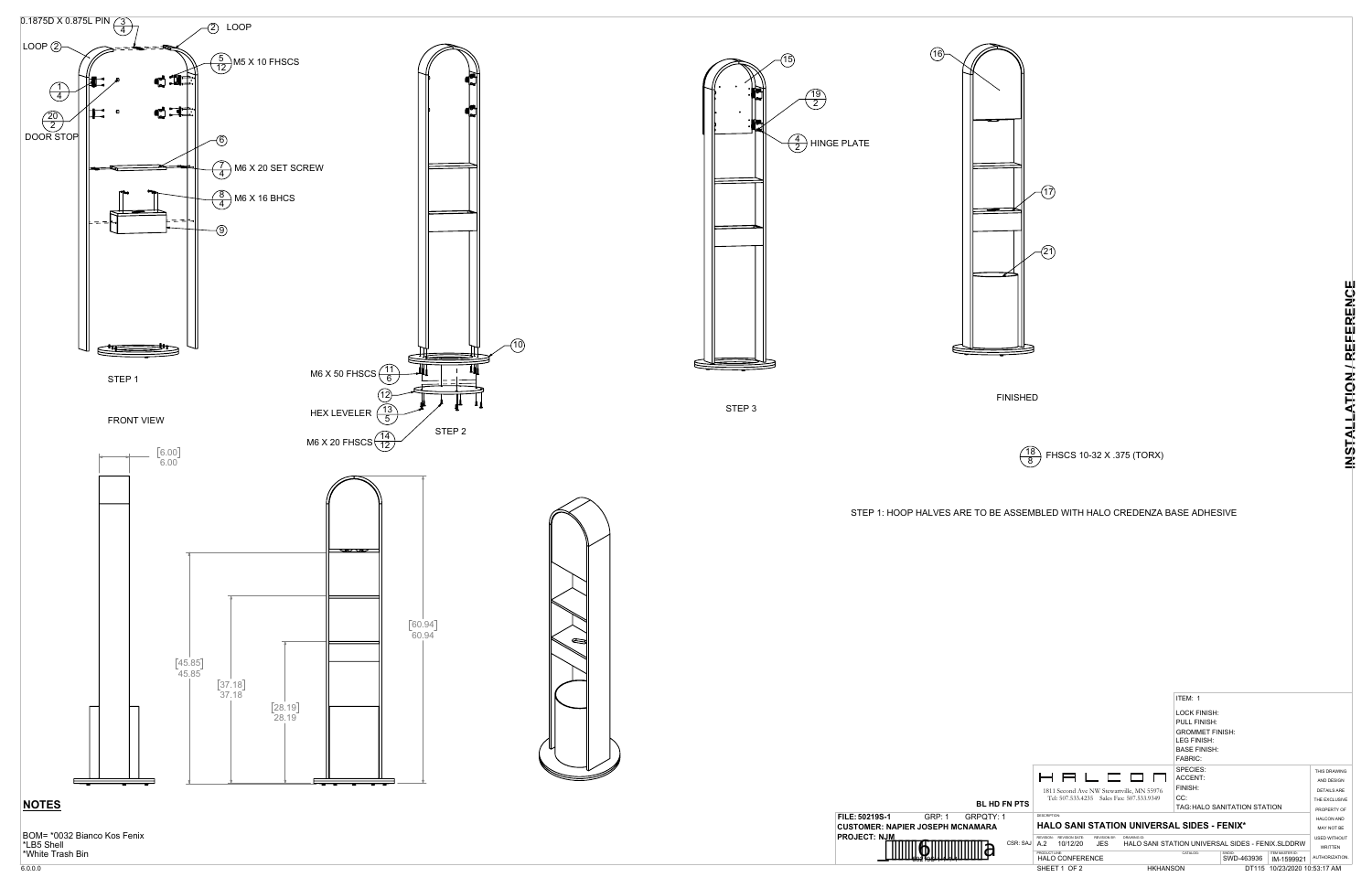